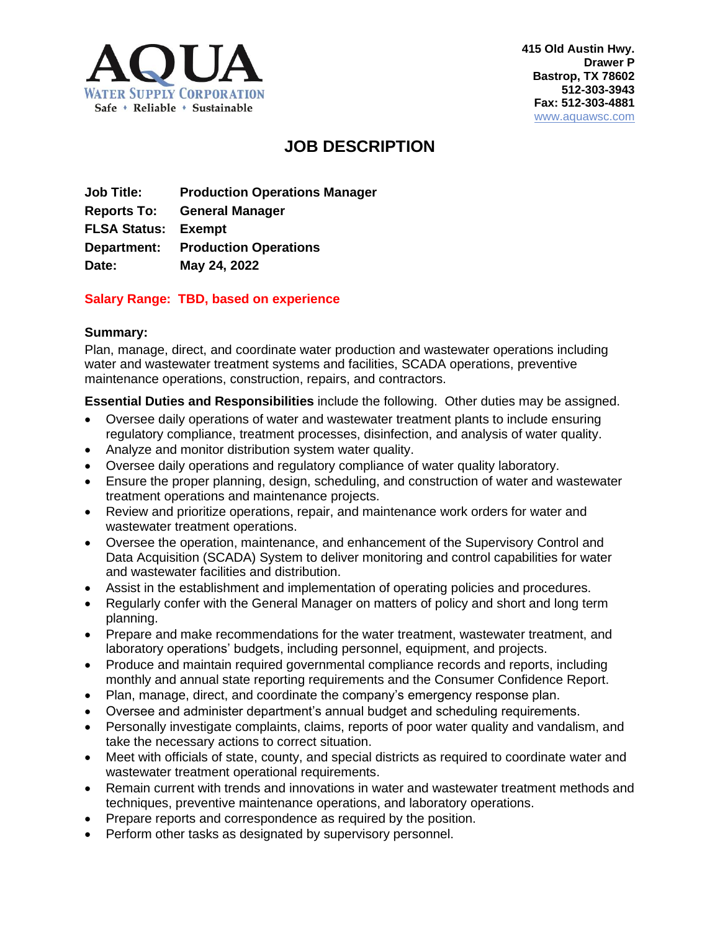

# **JOB DESCRIPTION**

**Job Title: Production Operations Manager Reports To: General Manager FLSA Status: Exempt Department: Production Operations Date: May 24, 2022**

## **Salary Range: TBD, based on experience**

#### **Summary:**

Plan, manage, direct, and coordinate water production and wastewater operations including water and wastewater treatment systems and facilities, SCADA operations, preventive maintenance operations, construction, repairs, and contractors.

**Essential Duties and Responsibilities** include the following. Other duties may be assigned.

- Oversee daily operations of water and wastewater treatment plants to include ensuring regulatory compliance, treatment processes, disinfection, and analysis of water quality.
- Analyze and monitor distribution system water quality.
- Oversee daily operations and regulatory compliance of water quality laboratory.
- Ensure the proper planning, design, scheduling, and construction of water and wastewater treatment operations and maintenance projects.
- Review and prioritize operations, repair, and maintenance work orders for water and wastewater treatment operations.
- Oversee the operation, maintenance, and enhancement of the Supervisory Control and Data Acquisition (SCADA) System to deliver monitoring and control capabilities for water and wastewater facilities and distribution.
- Assist in the establishment and implementation of operating policies and procedures.
- Regularly confer with the General Manager on matters of policy and short and long term planning.
- Prepare and make recommendations for the water treatment, wastewater treatment, and laboratory operations' budgets, including personnel, equipment, and projects.
- Produce and maintain required governmental compliance records and reports, including monthly and annual state reporting requirements and the Consumer Confidence Report.
- Plan, manage, direct, and coordinate the company's emergency response plan.
- Oversee and administer department's annual budget and scheduling requirements.
- Personally investigate complaints, claims, reports of poor water quality and vandalism, and take the necessary actions to correct situation.
- Meet with officials of state, county, and special districts as required to coordinate water and wastewater treatment operational requirements.
- Remain current with trends and innovations in water and wastewater treatment methods and techniques, preventive maintenance operations, and laboratory operations.
- Prepare reports and correspondence as required by the position.
- Perform other tasks as designated by supervisory personnel.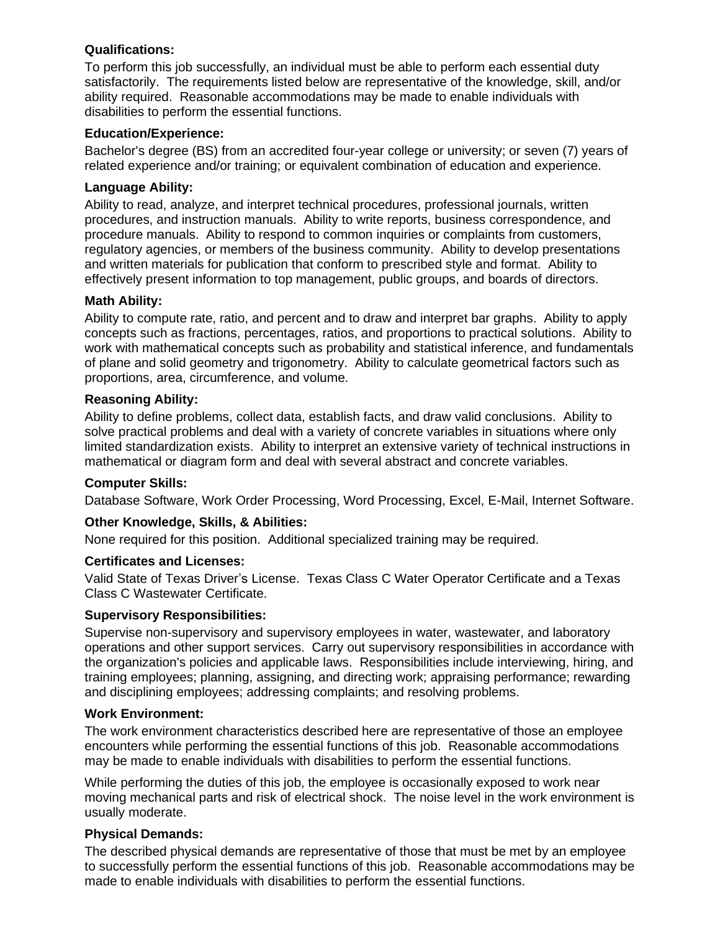### **Qualifications:**

To perform this job successfully, an individual must be able to perform each essential duty satisfactorily. The requirements listed below are representative of the knowledge, skill, and/or ability required. Reasonable accommodations may be made to enable individuals with disabilities to perform the essential functions.

### **Education/Experience:**

Bachelor's degree (BS) from an accredited four-year college or university; or seven (7) years of related experience and/or training; or equivalent combination of education and experience.

## **Language Ability:**

Ability to read, analyze, and interpret technical procedures, professional journals, written procedures, and instruction manuals. Ability to write reports, business correspondence, and procedure manuals. Ability to respond to common inquiries or complaints from customers, regulatory agencies, or members of the business community. Ability to develop presentations and written materials for publication that conform to prescribed style and format. Ability to effectively present information to top management, public groups, and boards of directors.

## **Math Ability:**

Ability to compute rate, ratio, and percent and to draw and interpret bar graphs. Ability to apply concepts such as fractions, percentages, ratios, and proportions to practical solutions. Ability to work with mathematical concepts such as probability and statistical inference, and fundamentals of plane and solid geometry and trigonometry. Ability to calculate geometrical factors such as proportions, area, circumference, and volume.

## **Reasoning Ability:**

Ability to define problems, collect data, establish facts, and draw valid conclusions. Ability to solve practical problems and deal with a variety of concrete variables in situations where only limited standardization exists. Ability to interpret an extensive variety of technical instructions in mathematical or diagram form and deal with several abstract and concrete variables.

#### **Computer Skills:**

Database Software, Work Order Processing, Word Processing, Excel, E-Mail, Internet Software.

# **Other Knowledge, Skills, & Abilities:**

None required for this position. Additional specialized training may be required.

# **Certificates and Licenses:**

Valid State of Texas Driver's License. Texas Class C Water Operator Certificate and a Texas Class C Wastewater Certificate.

#### **Supervisory Responsibilities:**

Supervise non-supervisory and supervisory employees in water, wastewater, and laboratory operations and other support services. Carry out supervisory responsibilities in accordance with the organization's policies and applicable laws. Responsibilities include interviewing, hiring, and training employees; planning, assigning, and directing work; appraising performance; rewarding and disciplining employees; addressing complaints; and resolving problems.

#### **Work Environment:**

The work environment characteristics described here are representative of those an employee encounters while performing the essential functions of this job. Reasonable accommodations may be made to enable individuals with disabilities to perform the essential functions.

While performing the duties of this job, the employee is occasionally exposed to work near moving mechanical parts and risk of electrical shock. The noise level in the work environment is usually moderate.

# **Physical Demands:**

The described physical demands are representative of those that must be met by an employee to successfully perform the essential functions of this job. Reasonable accommodations may be made to enable individuals with disabilities to perform the essential functions.